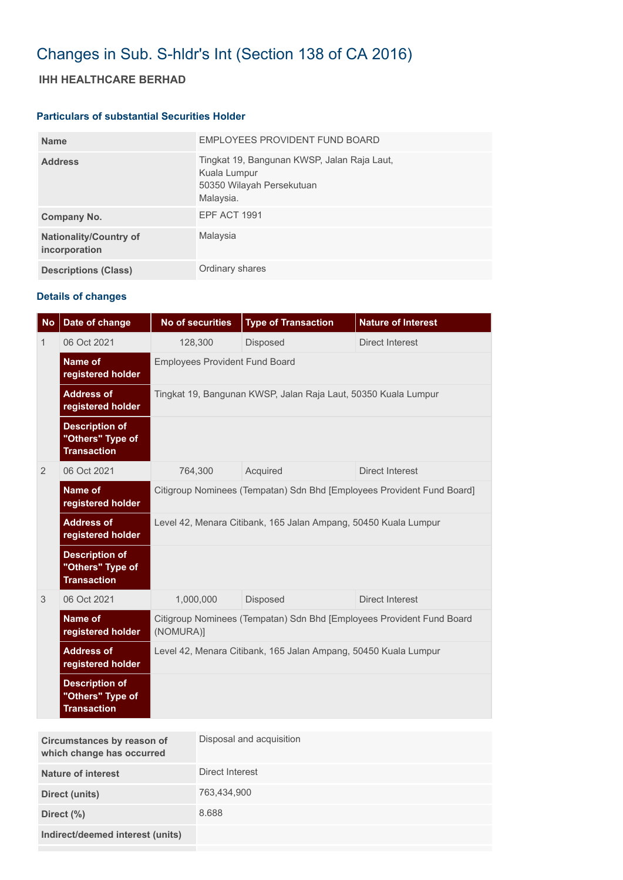## Changes in Sub. S-hldr's Int (Section 138 of CA 2016)

## **IHH HEALTHCARE BERHAD**

## **Particulars of substantial Securities Holder**

| <b>Name</b>                                    | EMPLOYEES PROVIDENT FUND BOARD                                                                        |
|------------------------------------------------|-------------------------------------------------------------------------------------------------------|
| <b>Address</b>                                 | Tingkat 19, Bangunan KWSP, Jalan Raja Laut,<br>Kuala Lumpur<br>50350 Wilayah Persekutuan<br>Malaysia. |
| Company No.                                    | <b>EPF ACT 1991</b>                                                                                   |
| <b>Nationality/Country of</b><br>incorporation | Malaysia                                                                                              |
| <b>Descriptions (Class)</b>                    | Ordinary shares                                                                                       |

## **Details of changes**

| <b>No</b> | Date of change                                                  | <b>No of securities</b>                                                            | <b>Type of Transaction</b> | <b>Nature of Interest</b> |  |  |
|-----------|-----------------------------------------------------------------|------------------------------------------------------------------------------------|----------------------------|---------------------------|--|--|
| 1         | 06 Oct 2021                                                     | 128,300                                                                            | <b>Disposed</b>            | <b>Direct Interest</b>    |  |  |
|           | <b>Name of</b><br>registered holder                             | <b>Employees Provident Fund Board</b>                                              |                            |                           |  |  |
|           | <b>Address of</b><br>registered holder                          | Tingkat 19, Bangunan KWSP, Jalan Raja Laut, 50350 Kuala Lumpur                     |                            |                           |  |  |
|           | <b>Description of</b><br>"Others" Type of<br><b>Transaction</b> |                                                                                    |                            |                           |  |  |
| 2         | 06 Oct 2021                                                     | 764,300                                                                            | Acquired                   | Direct Interest           |  |  |
|           | <b>Name of</b><br>registered holder                             | Citigroup Nominees (Tempatan) Sdn Bhd [Employees Provident Fund Board]             |                            |                           |  |  |
|           | <b>Address of</b><br>registered holder                          | Level 42, Menara Citibank, 165 Jalan Ampang, 50450 Kuala Lumpur                    |                            |                           |  |  |
|           | <b>Description of</b><br>"Others" Type of<br><b>Transaction</b> |                                                                                    |                            |                           |  |  |
| 3         | 06 Oct 2021                                                     | 1,000,000                                                                          | Disposed                   | <b>Direct Interest</b>    |  |  |
|           | <b>Name of</b><br>registered holder                             | Citigroup Nominees (Tempatan) Sdn Bhd [Employees Provident Fund Board<br>(NOMURA)] |                            |                           |  |  |
|           | <b>Address of</b><br>registered holder                          | Level 42, Menara Citibank, 165 Jalan Ampang, 50450 Kuala Lumpur                    |                            |                           |  |  |
|           | <b>Description of</b><br>"Others" Type of<br><b>Transaction</b> |                                                                                    |                            |                           |  |  |

| Circumstances by reason of<br>which change has occurred | Disposal and acquisition |
|---------------------------------------------------------|--------------------------|
| <b>Nature of interest</b>                               | Direct Interest          |
| Direct (units)                                          | 763,434,900              |
| Direct (%)                                              | 8.688                    |
| Indirect/deemed interest (units)                        |                          |